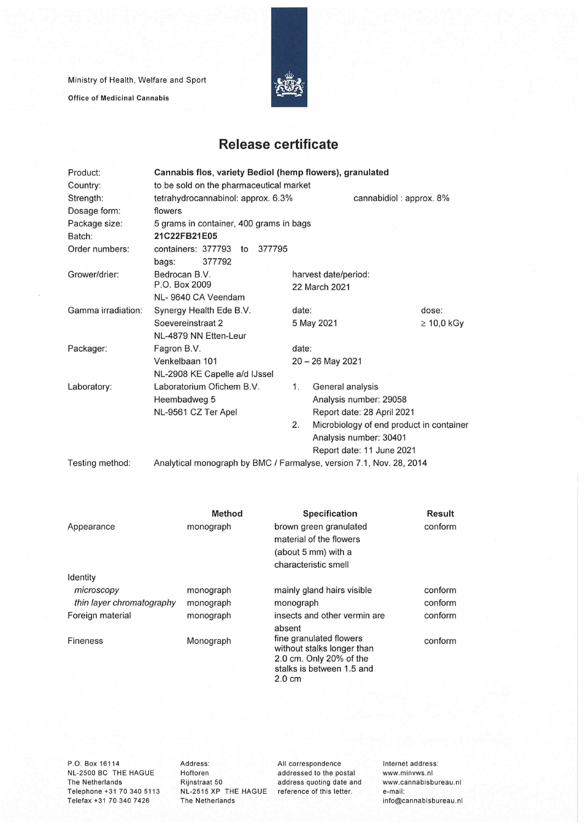Ministry of Health, Welfare and Sport

**Office of Medicinal Cannabis** 



## **Release certificate**

| Product:           | Cannabis flos, variety Bediol (hemp flowers), granulated            |                               |                                          |  |  |  |
|--------------------|---------------------------------------------------------------------|-------------------------------|------------------------------------------|--|--|--|
| Country:           | to be sold on the pharmaceutical market                             |                               |                                          |  |  |  |
| Strength:          | tetrahydrocannabinol: approx. 6.3%<br>cannabidiol: approx. 8%       |                               |                                          |  |  |  |
| Dosage form:       | flowers                                                             |                               |                                          |  |  |  |
| Package size:      | 5 grams in container, 400 grams in bags                             |                               |                                          |  |  |  |
| Batch:             | 21C22FB21E05                                                        |                               |                                          |  |  |  |
| Order numbers:     | containers: 377793<br>377795<br>$\mathsf{to}$                       |                               |                                          |  |  |  |
|                    | 377792<br>bags:                                                     |                               |                                          |  |  |  |
| Grower/drier:      | Bedrocan B.V.                                                       | harvest date/period:          |                                          |  |  |  |
|                    | P.O. Box 2009                                                       | 22 March 2021                 |                                          |  |  |  |
|                    | NL-9640 CA Veendam                                                  |                               |                                          |  |  |  |
| Gamma irradiation: | Synergy Health Ede B.V.                                             | date:                         | dose:                                    |  |  |  |
|                    | Soevereinstraat 2                                                   | $\geq 10,0$ kGy<br>5 May 2021 |                                          |  |  |  |
|                    | NL-4879 NN Etten-Leur                                               |                               |                                          |  |  |  |
| Packager:          | Fagron B.V.                                                         | date:<br>$20 - 26$ May 2021   |                                          |  |  |  |
|                    | Venkelbaan 101                                                      |                               |                                          |  |  |  |
|                    | NL-2908 KE Capelle a/d IJssel                                       |                               |                                          |  |  |  |
| Laboratory:        | Laboratorium Ofichem B.V.                                           | General analysis<br>1.        |                                          |  |  |  |
|                    | Heembadweg 5                                                        | Analysis number: 29058        |                                          |  |  |  |
|                    | NL-9561 CZ Ter Apel                                                 | Report date: 28 April 2021    |                                          |  |  |  |
|                    |                                                                     | 2.                            | Microbiology of end product in container |  |  |  |
|                    |                                                                     | Analysis number: 30401        |                                          |  |  |  |
|                    |                                                                     | Report date: 11 June 2021     |                                          |  |  |  |
| Testing method:    | Analytical monograph by BMC / Farmalyse, version 7.1, Nov. 28, 2014 |                               |                                          |  |  |  |

|                           | Method    | Specification                                                                                                                     | <b>Result</b> |
|---------------------------|-----------|-----------------------------------------------------------------------------------------------------------------------------------|---------------|
| Appearance                | monograph | brown green granulated                                                                                                            | conform       |
|                           |           | material of the flowers                                                                                                           |               |
|                           |           | (about 5 mm) with a                                                                                                               |               |
|                           |           | characteristic smell                                                                                                              |               |
| Identity                  |           |                                                                                                                                   |               |
| microscopy                | monograph | mainly gland hairs visible                                                                                                        | conform       |
| thin layer chromatography | monograph | monograph                                                                                                                         | conform       |
| Foreign material          | monograph | insects and other vermin are                                                                                                      | conform       |
|                           |           | absent                                                                                                                            |               |
| <b>Fineness</b>           | Monograph | fine granulated flowers<br>without stalks longer than<br>2.0 cm. Only 20% of the<br>stalks is between 1.5 and<br>$2.0 \text{ cm}$ | conform       |

**P.O.** Box 16114 NL-2500 BC THE HAGUE The Netherlands Telephone +31 70 340 5113 Telefax +31 70 340 7426

Address: Hoftoren Rijnstraat 50 NL-2515 XP THE HAGUE The Netherlands

All correspondence addressed to the postai address quoting date and reference of this letter.

Internet address: www.minvws.nl www.cannabisbureau.n1 e-mail: info@cannabisbureau.nl